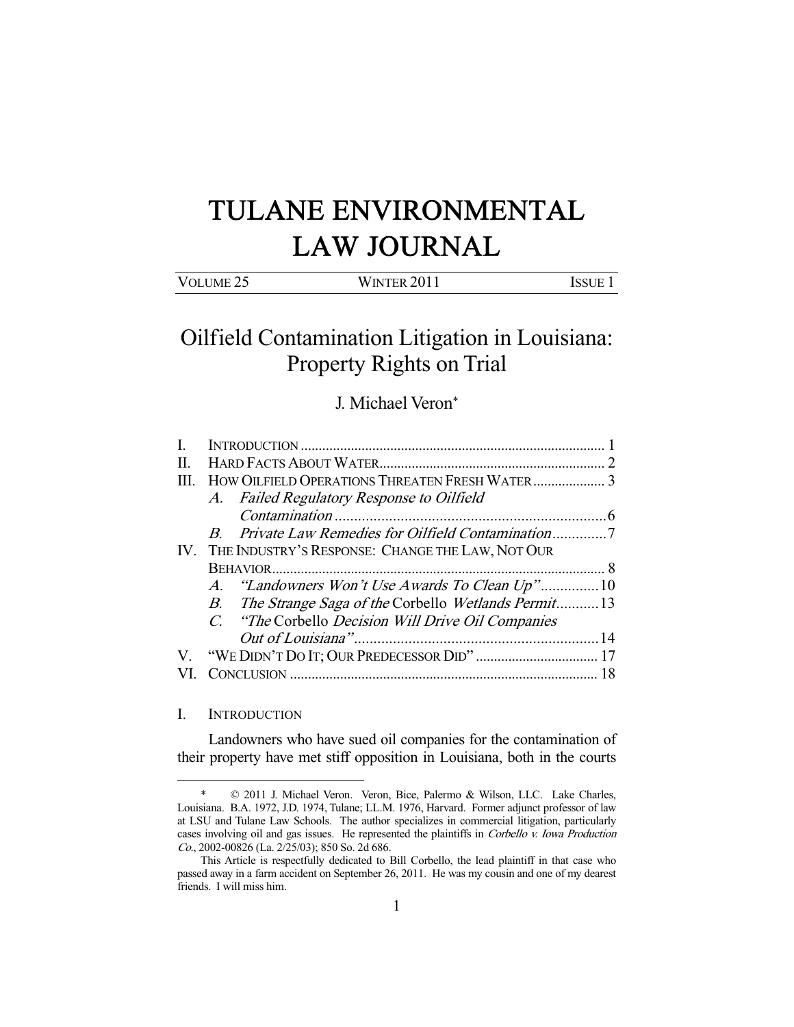# TULANE ENVIRONMENTAL LAW JOURNAL

| VOLUME <sub>25</sub> | WINTER 2011 | <b>ISSUE</b> |
|----------------------|-------------|--------------|

## Oilfield Contamination Litigation in Louisiana: Property Rights on Trial

### J. Michael Veron\*

| $\Pi$ . |                                                       |  |
|---------|-------------------------------------------------------|--|
| III.    |                                                       |  |
|         | A. Failed Regulatory Response to Oilfield             |  |
|         |                                                       |  |
|         |                                                       |  |
|         | IV. THE INDUSTRY'S RESPONSE: CHANGE THE LAW, NOT OUR  |  |
|         |                                                       |  |
|         | A. "Landowners Won't Use Awards To Clean Up"10        |  |
|         | B. The Strange Saga of the Corbello Wetlands Permit13 |  |
|         | C. "The Corbello Decision Will Drive Oil Companies"   |  |
|         |                                                       |  |
|         |                                                       |  |
|         |                                                       |  |
|         |                                                       |  |

#### I. INTRODUCTION

-

 Landowners who have sued oil companies for the contamination of their property have met stiff opposition in Louisiana, both in the courts

 <sup>\* © 2011</sup> J. Michael Veron. Veron, Bice, Palermo & Wilson, LLC. Lake Charles, Louisiana. B.A. 1972, J.D. 1974, Tulane; LL.M. 1976, Harvard. Former adjunct professor of law at LSU and Tulane Law Schools. The author specializes in commercial litigation, particularly cases involving oil and gas issues. He represented the plaintiffs in Corbello v. Iowa Production Co., 2002-00826 (La. 2/25/03); 850 So. 2d 686.

This Article is respectfully dedicated to Bill Corbello, the lead plaintiff in that case who passed away in a farm accident on September 26, 2011. He was my cousin and one of my dearest friends. I will miss him.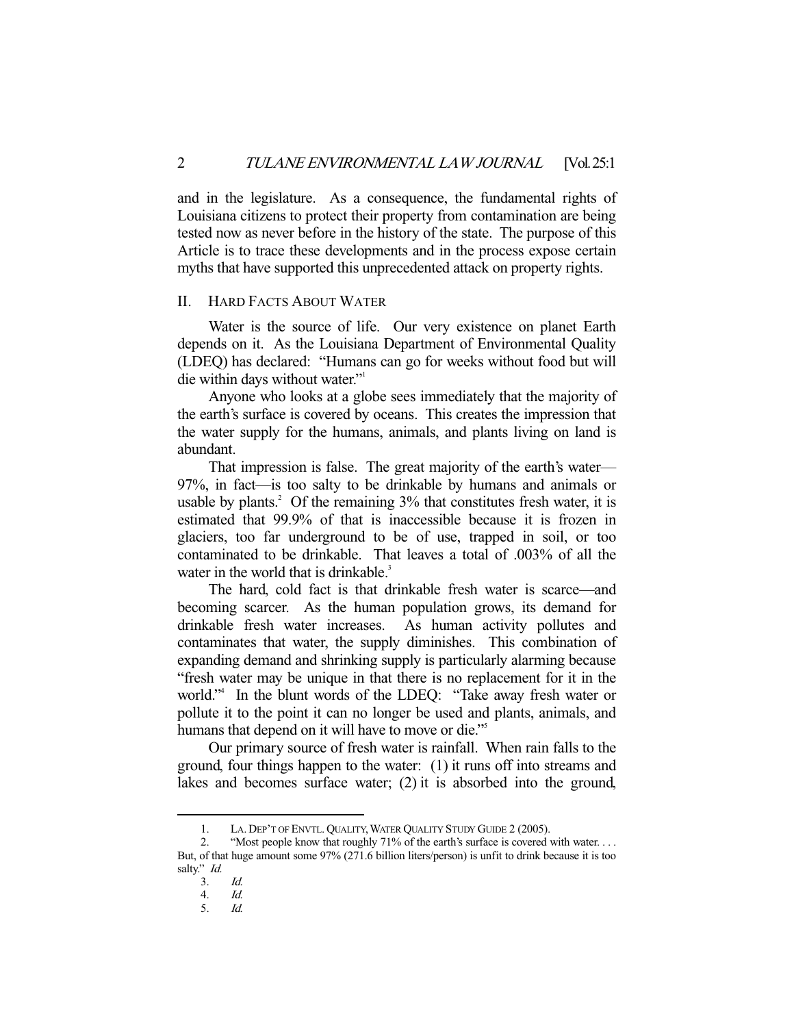and in the legislature. As a consequence, the fundamental rights of Louisiana citizens to protect their property from contamination are being tested now as never before in the history of the state. The purpose of this Article is to trace these developments and in the process expose certain myths that have supported this unprecedented attack on property rights.

#### II. HARD FACTS ABOUT WATER

 Water is the source of life. Our very existence on planet Earth depends on it. As the Louisiana Department of Environmental Quality (LDEQ) has declared: "Humans can go for weeks without food but will die within days without water."1

 Anyone who looks at a globe sees immediately that the majority of the earth's surface is covered by oceans. This creates the impression that the water supply for the humans, animals, and plants living on land is abundant.

 That impression is false. The great majority of the earth's water— 97%, in fact—is too salty to be drinkable by humans and animals or usable by plants.<sup>2</sup> Of the remaining  $3\%$  that constitutes fresh water, it is estimated that 99.9% of that is inaccessible because it is frozen in glaciers, too far underground to be of use, trapped in soil, or too contaminated to be drinkable. That leaves a total of .003% of all the water in the world that is drinkable. $3$ 

 The hard, cold fact is that drinkable fresh water is scarce—and becoming scarcer. As the human population grows, its demand for drinkable fresh water increases. As human activity pollutes and contaminates that water, the supply diminishes. This combination of expanding demand and shrinking supply is particularly alarming because "fresh water may be unique in that there is no replacement for it in the world."4 In the blunt words of the LDEQ: "Take away fresh water or pollute it to the point it can no longer be used and plants, animals, and humans that depend on it will have to move or die."<sup>5</sup>

 Our primary source of fresh water is rainfall. When rain falls to the ground, four things happen to the water: (1) it runs off into streams and lakes and becomes surface water; (2) it is absorbed into the ground,

 <sup>1.</sup> LA. DEP'T OF ENVTL. QUALITY,WATER QUALITY STUDY GUIDE 2 (2005).

 <sup>2. &</sup>quot;Most people know that roughly 71% of the earth's surface is covered with water. . . . But, of that huge amount some 97% (271.6 billion liters/person) is unfit to drink because it is too salty." *Id.* 

 <sup>3.</sup> Id.

<sup>4.</sup>  $Id.$ <br>5.  $Id.$ 

Id.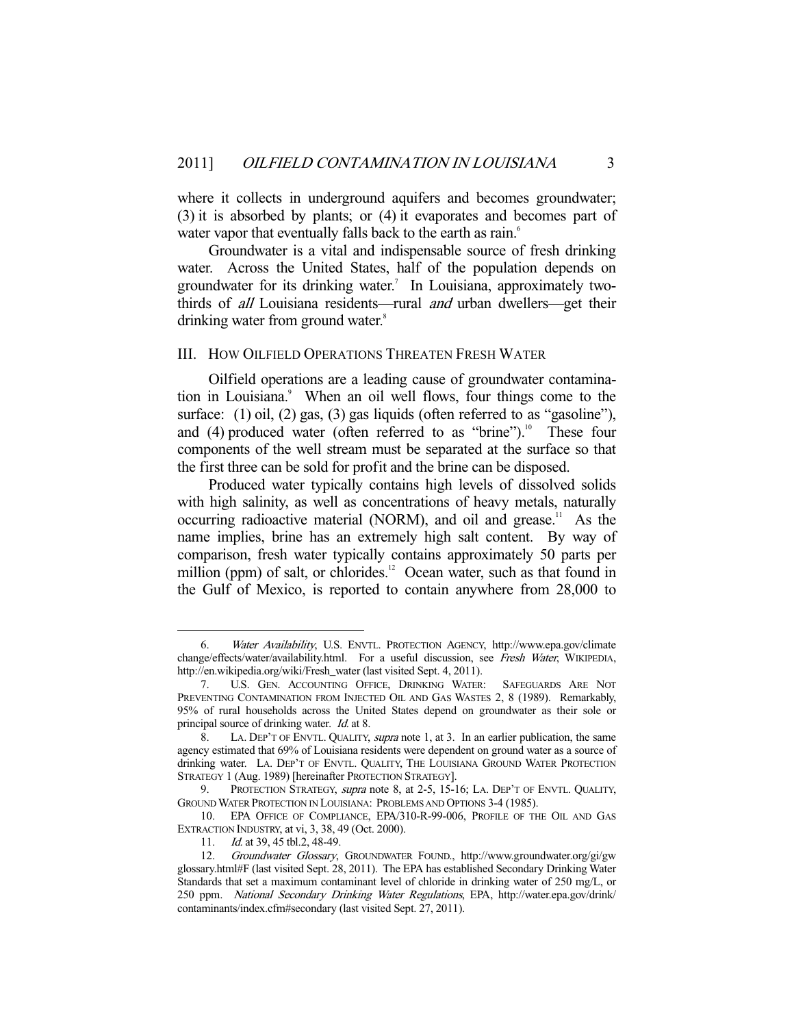where it collects in underground aquifers and becomes groundwater; (3) it is absorbed by plants; or (4) it evaporates and becomes part of water vapor that eventually falls back to the earth as rain.<sup>6</sup>

 Groundwater is a vital and indispensable source of fresh drinking water. Across the United States, half of the population depends on groundwater for its drinking water.<sup>7</sup> In Louisiana, approximately twothirds of *all* Louisiana residents—rural *and* urban dwellers—get their drinking water from ground water.<sup>8</sup>

#### III. HOW OILFIELD OPERATIONS THREATEN FRESH WATER

 Oilfield operations are a leading cause of groundwater contamination in Louisiana.<sup>9</sup> When an oil well flows, four things come to the surface: (1) oil, (2) gas, (3) gas liquids (often referred to as "gasoline"), and (4) produced water (often referred to as "brine").<sup>10</sup> These four components of the well stream must be separated at the surface so that the first three can be sold for profit and the brine can be disposed.

 Produced water typically contains high levels of dissolved solids with high salinity, as well as concentrations of heavy metals, naturally occurring radioactive material (NORM), and oil and grease.<sup>11</sup> As the name implies, brine has an extremely high salt content. By way of comparison, fresh water typically contains approximately 50 parts per million (ppm) of salt, or chlorides.<sup>12</sup> Ocean water, such as that found in the Gulf of Mexico, is reported to contain anywhere from 28,000 to

 <sup>6.</sup> Water Availability, U.S. ENVTL. PROTECTION AGENCY, http://www.epa.gov/climate change/effects/water/availability.html. For a useful discussion, see Fresh Water, WIKIPEDIA, http://en.wikipedia.org/wiki/Fresh\_water (last visited Sept. 4, 2011).

 <sup>7.</sup> U.S. GEN. ACCOUNTING OFFICE, DRINKING WATER: SAFEGUARDS ARE NOT PREVENTING CONTAMINATION FROM INJECTED OIL AND GAS WASTES 2, 8 (1989). Remarkably, 95% of rural households across the United States depend on groundwater as their sole or principal source of drinking water. Id. at 8.

<sup>8.</sup> LA. DEP'T OF ENVTL. QUALITY, *supra* note 1, at 3. In an earlier publication, the same agency estimated that 69% of Louisiana residents were dependent on ground water as a source of drinking water. LA. DEP'T OF ENVTL. QUALITY, THE LOUISIANA GROUND WATER PROTECTION STRATEGY 1 (Aug. 1989) [hereinafter PROTECTION STRATEGY].

<sup>9.</sup> PROTECTION STRATEGY, *supra* note 8, at 2-5, 15-16; LA. DEP'T OF ENVTL. QUALITY, GROUND WATER PROTECTION IN LOUISIANA: PROBLEMS AND OPTIONS 3-4 (1985).

 <sup>10.</sup> EPA OFFICE OF COMPLIANCE, EPA/310-R-99-006, PROFILE OF THE OIL AND GAS EXTRACTION INDUSTRY, at vi, 3, 38, 49 (Oct. 2000).

<sup>11.</sup> *Id.* at 39, 45 tbl.2, 48-49.

 <sup>12.</sup> Groundwater Glossary, GROUNDWATER FOUND., http://www.groundwater.org/gi/gw glossary.html#F (last visited Sept. 28, 2011). The EPA has established Secondary Drinking Water Standards that set a maximum contaminant level of chloride in drinking water of 250 mg/L, or 250 ppm. National Secondary Drinking Water Regulations, EPA, http://water.epa.gov/drink/ contaminants/index.cfm#secondary (last visited Sept. 27, 2011).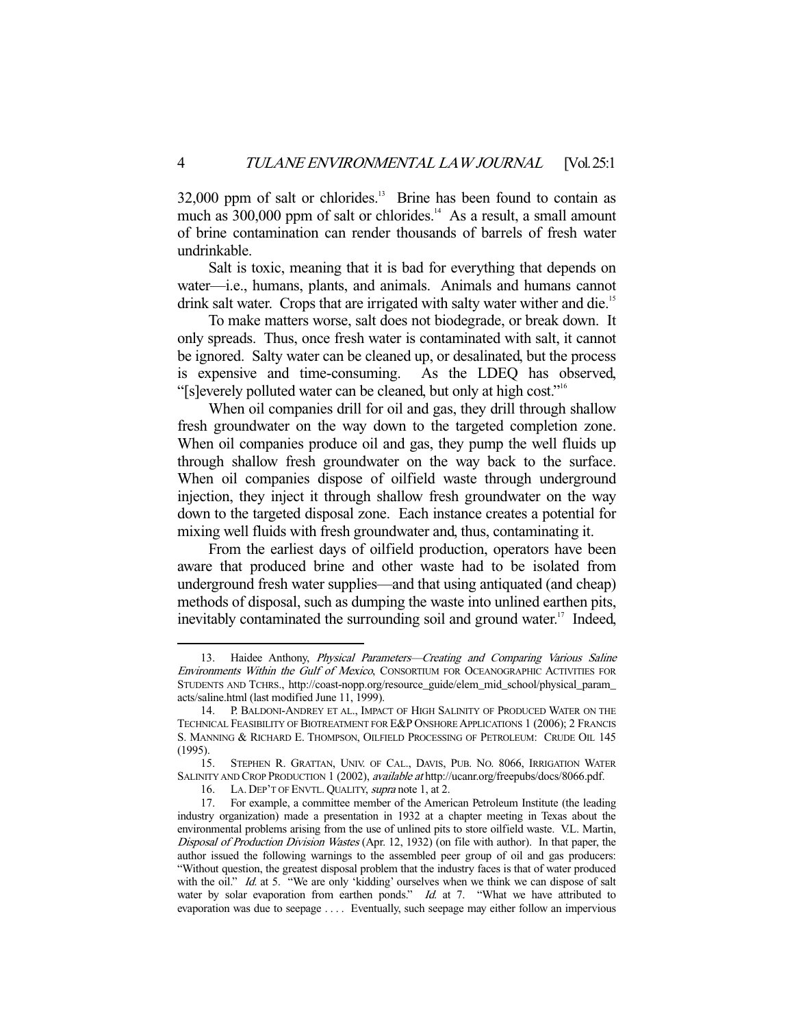32,000 ppm of salt or chlorides.<sup>13</sup> Brine has been found to contain as much as  $300,000$  ppm of salt or chlorides.<sup>14</sup> As a result, a small amount of brine contamination can render thousands of barrels of fresh water undrinkable.

 Salt is toxic, meaning that it is bad for everything that depends on water—i.e., humans, plants, and animals. Animals and humans cannot drink salt water. Crops that are irrigated with salty water wither and die.<sup>15</sup>

 To make matters worse, salt does not biodegrade, or break down. It only spreads. Thus, once fresh water is contaminated with salt, it cannot be ignored. Salty water can be cleaned up, or desalinated, but the process is expensive and time-consuming. As the LDEQ has observed, "[s]everely polluted water can be cleaned, but only at high cost."16

 When oil companies drill for oil and gas, they drill through shallow fresh groundwater on the way down to the targeted completion zone. When oil companies produce oil and gas, they pump the well fluids up through shallow fresh groundwater on the way back to the surface. When oil companies dispose of oilfield waste through underground injection, they inject it through shallow fresh groundwater on the way down to the targeted disposal zone. Each instance creates a potential for mixing well fluids with fresh groundwater and, thus, contaminating it.

 From the earliest days of oilfield production, operators have been aware that produced brine and other waste had to be isolated from underground fresh water supplies—and that using antiquated (and cheap) methods of disposal, such as dumping the waste into unlined earthen pits, inevitably contaminated the surrounding soil and ground water.<sup>17</sup> Indeed,

<sup>13.</sup> Haidee Anthony, Physical Parameters-Creating and Comparing Various Saline Environments Within the Gulf of Mexico, CONSORTIUM FOR OCEANOGRAPHIC ACTIVITIES FOR STUDENTS AND TCHRS., http://coast-nopp.org/resource\_guide/elem\_mid\_school/physical\_param\_ acts/saline.html (last modified June 11, 1999).

 <sup>14.</sup> P. BALDONI-ANDREY ET AL., IMPACT OF HIGH SALINITY OF PRODUCED WATER ON THE TECHNICAL FEASIBILITY OF BIOTREATMENT FOR E&P ONSHORE APPLICATIONS 1 (2006); 2 FRANCIS S. MANNING & RICHARD E. THOMPSON, OILFIELD PROCESSING OF PETROLEUM: CRUDE OIL 145 (1995).

 <sup>15.</sup> STEPHEN R. GRATTAN, UNIV. OF CAL., DAVIS, PUB. NO. 8066, IRRIGATION WATER SALINITY AND CROP PRODUCTION 1 (2002), available at http://ucanr.org/freepubs/docs/8066.pdf.

<sup>16.</sup> LA. DEP'T OF ENVTL. QUALITY, supra note 1, at 2.

 <sup>17.</sup> For example, a committee member of the American Petroleum Institute (the leading industry organization) made a presentation in 1932 at a chapter meeting in Texas about the environmental problems arising from the use of unlined pits to store oilfield waste. V.L. Martin, Disposal of Production Division Wastes (Apr. 12, 1932) (on file with author). In that paper, the author issued the following warnings to the assembled peer group of oil and gas producers: "Without question, the greatest disposal problem that the industry faces is that of water produced with the oil." Id. at 5. "We are only 'kidding' ourselves when we think we can dispose of salt water by solar evaporation from earthen ponds." Id. at 7. "What we have attributed to evaporation was due to seepage .... Eventually, such seepage may either follow an impervious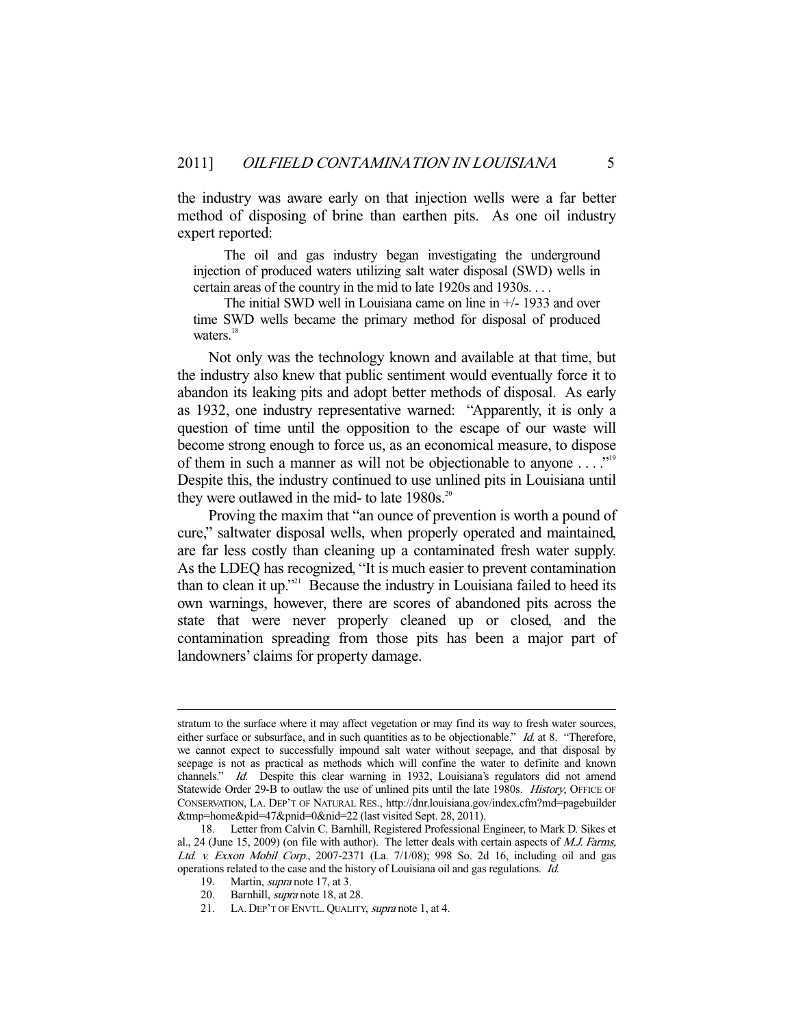the industry was aware early on that injection wells were a far better method of disposing of brine than earthen pits. As one oil industry expert reported:

 The oil and gas industry began investigating the underground injection of produced waters utilizing salt water disposal (SWD) wells in certain areas of the country in the mid to late 1920s and 1930s. . . .

 The initial SWD well in Louisiana came on line in +/- 1933 and over time SWD wells became the primary method for disposal of produced waters.<sup>18</sup>

 Not only was the technology known and available at that time, but the industry also knew that public sentiment would eventually force it to abandon its leaking pits and adopt better methods of disposal. As early as 1932, one industry representative warned: "Apparently, it is only a question of time until the opposition to the escape of our waste will become strong enough to force us, as an economical measure, to dispose of them in such a manner as will not be objectionable to anyone . . . ."19 Despite this, the industry continued to use unlined pits in Louisiana until they were outlawed in the mid- to late  $1980s$ <sup>20</sup>

 Proving the maxim that "an ounce of prevention is worth a pound of cure," saltwater disposal wells, when properly operated and maintained, are far less costly than cleaning up a contaminated fresh water supply. As the LDEQ has recognized, "It is much easier to prevent contamination than to clean it up."<sup>21</sup> Because the industry in Louisiana failed to heed its own warnings, however, there are scores of abandoned pits across the state that were never properly cleaned up or closed, and the contamination spreading from those pits has been a major part of landowners' claims for property damage.

stratum to the surface where it may affect vegetation or may find its way to fresh water sources, either surface or subsurface, and in such quantities as to be objectionable."  $Id$  at 8. "Therefore, we cannot expect to successfully impound salt water without seepage, and that disposal by seepage is not as practical as methods which will confine the water to definite and known channels." Id. Despite this clear warning in 1932, Louisiana's regulators did not amend Statewide Order 29-B to outlaw the use of unlined pits until the late 1980s. History, OFFICE OF CONSERVATION, LA. DEP'T OF NATURAL RES., http://dnr.louisiana.gov/index.cfm?md=pagebuilder &tmp=home&pid=47&pnid=0&nid=22 (last visited Sept. 28, 2011).

 <sup>18.</sup> Letter from Calvin C. Barnhill, Registered Professional Engineer, to Mark D. Sikes et al., 24 (June 15, 2009) (on file with author). The letter deals with certain aspects of M.J. Farms, Ltd. v. Exxon Mobil Corp., 2007-2371 (La. 7/1/08); 998 So. 2d 16, including oil and gas operations related to the case and the history of Louisiana oil and gas regulations. Id.

 <sup>19.</sup> Martin, supra note 17, at 3.

 <sup>20.</sup> Barnhill, supra note 18, at 28.

 <sup>21.</sup> LA. DEP'T OF ENVTL. QUALITY, supra note 1, at 4.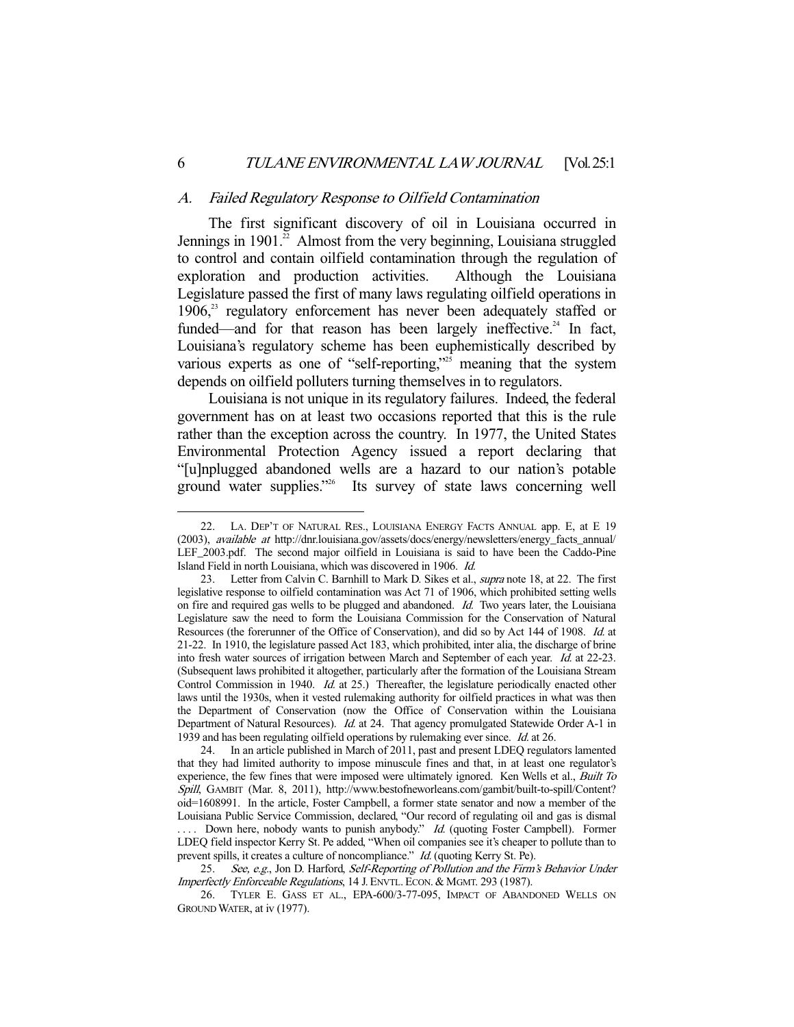#### A. Failed Regulatory Response to Oilfield Contamination

 The first significant discovery of oil in Louisiana occurred in Jennings in 1901.<sup>22</sup> Almost from the very beginning, Louisiana struggled to control and contain oilfield contamination through the regulation of exploration and production activities. Although the Louisiana Legislature passed the first of many laws regulating oilfield operations in 1906,<sup>23</sup> regulatory enforcement has never been adequately staffed or funded—and for that reason has been largely ineffective.<sup>24</sup> In fact, Louisiana's regulatory scheme has been euphemistically described by various experts as one of "self-reporting,"<sup>25</sup> meaning that the system depends on oilfield polluters turning themselves in to regulators.

 Louisiana is not unique in its regulatory failures. Indeed, the federal government has on at least two occasions reported that this is the rule rather than the exception across the country. In 1977, the United States Environmental Protection Agency issued a report declaring that "[u]nplugged abandoned wells are a hazard to our nation's potable ground water supplies."<sup>26</sup> Its survey of state laws concerning well

 <sup>22.</sup> LA. DEP'T OF NATURAL RES., LOUISIANA ENERGY FACTS ANNUAL app. E, at E 19 (2003), available at http://dnr.louisiana.gov/assets/docs/energy/newsletters/energy\_facts\_annual/ LEF\_2003.pdf. The second major oilfield in Louisiana is said to have been the Caddo-Pine Island Field in north Louisiana, which was discovered in 1906. Id.

<sup>23.</sup> Letter from Calvin C. Barnhill to Mark D. Sikes et al., *supra* note 18, at 22. The first legislative response to oilfield contamination was Act 71 of 1906, which prohibited setting wells on fire and required gas wells to be plugged and abandoned. Id. Two years later, the Louisiana Legislature saw the need to form the Louisiana Commission for the Conservation of Natural Resources (the forerunner of the Office of Conservation), and did so by Act 144 of 1908. Id. at 21-22. In 1910, the legislature passed Act 183, which prohibited, inter alia, the discharge of brine into fresh water sources of irrigation between March and September of each year. Id. at 22-23. (Subsequent laws prohibited it altogether, particularly after the formation of the Louisiana Stream Control Commission in 1940. *Id.* at 25.) Thereafter, the legislature periodically enacted other laws until the 1930s, when it vested rulemaking authority for oilfield practices in what was then the Department of Conservation (now the Office of Conservation within the Louisiana Department of Natural Resources). Id. at 24. That agency promulgated Statewide Order A-1 in 1939 and has been regulating oilfield operations by rulemaking ever since. Id. at 26.

 <sup>24.</sup> In an article published in March of 2011, past and present LDEQ regulators lamented that they had limited authority to impose minuscule fines and that, in at least one regulator's experience, the few fines that were imposed were ultimately ignored. Ken Wells et al., *Built To* Spill, GAMBIT (Mar. 8, 2011), http://www.bestofneworleans.com/gambit/built-to-spill/Content? oid=1608991. In the article, Foster Campbell, a former state senator and now a member of the Louisiana Public Service Commission, declared, "Our record of regulating oil and gas is dismal .... Down here, nobody wants to punish anybody." Id. (quoting Foster Campbell). Former LDEQ field inspector Kerry St. Pe added, "When oil companies see it's cheaper to pollute than to prevent spills, it creates a culture of noncompliance." Id. (quoting Kerry St. Pe).

<sup>25.</sup> See, e.g., Jon D. Harford, Self-Reporting of Pollution and the Firm's Behavior Under Imperfectly Enforceable Regulations, 14 J. ENVTL. ECON. & MGMT. 293 (1987).

 <sup>26.</sup> TYLER E. GASS ET AL., EPA-600/3-77-095, IMPACT OF ABANDONED WELLS ON GROUND WATER, at iv (1977).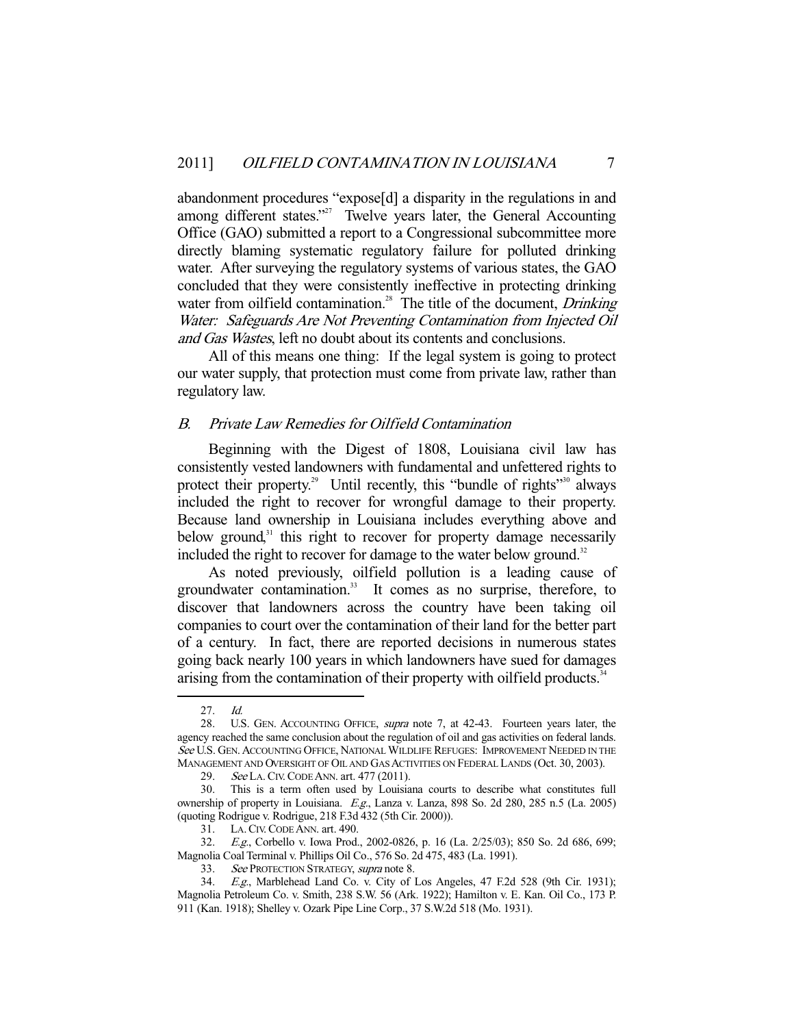abandonment procedures "expose[d] a disparity in the regulations in and among different states."<sup>27</sup> Twelve years later, the General Accounting Office (GAO) submitted a report to a Congressional subcommittee more directly blaming systematic regulatory failure for polluted drinking water. After surveying the regulatory systems of various states, the GAO concluded that they were consistently ineffective in protecting drinking water from oilfield contamination.<sup>28</sup> The title of the document, *Drinking* Water: Safeguards Are Not Preventing Contamination from Injected Oil and Gas Wastes, left no doubt about its contents and conclusions.

 All of this means one thing: If the legal system is going to protect our water supply, that protection must come from private law, rather than regulatory law.

#### B. Private Law Remedies for Oilfield Contamination

 Beginning with the Digest of 1808, Louisiana civil law has consistently vested landowners with fundamental and unfettered rights to protect their property.<sup>29</sup> Until recently, this "bundle of rights"<sup>30</sup> always included the right to recover for wrongful damage to their property. Because land ownership in Louisiana includes everything above and below ground, $31$  this right to recover for property damage necessarily included the right to recover for damage to the water below ground.<sup>32</sup>

 As noted previously, oilfield pollution is a leading cause of groundwater contamination.<sup>33</sup> It comes as no surprise, therefore, to discover that landowners across the country have been taking oil companies to court over the contamination of their land for the better part of a century. In fact, there are reported decisions in numerous states going back nearly 100 years in which landowners have sued for damages arising from the contamination of their property with oilfield products.<sup>34</sup>

 <sup>27.</sup> Id.

 <sup>28.</sup> U.S. GEN. ACCOUNTING OFFICE, supra note 7, at 42-43. Fourteen years later, the agency reached the same conclusion about the regulation of oil and gas activities on federal lands. See U.S. GEN. ACCOUNTING OFFICE, NATIONAL WILDLIFE REFUGES: IMPROVEMENT NEEDED IN THE MANAGEMENT AND OVERSIGHT OF OIL AND GAS ACTIVITIES ON FEDERAL LANDS (Oct. 30, 2003).

<sup>29.</sup> See LA. CIV. CODE ANN. art. 477 (2011).

 <sup>30.</sup> This is a term often used by Louisiana courts to describe what constitutes full ownership of property in Louisiana. E.g., Lanza v. Lanza, 898 So. 2d 280, 285 n.5 (La. 2005) (quoting Rodrigue v. Rodrigue, 218 F.3d 432 (5th Cir. 2000)).

<sup>31.</sup> LA. CIV. CODE ANN. art. 490.<br>32. E.g., Corbello v. Iowa Prod.

E.g., Corbello v. Iowa Prod., 2002-0826, p. 16 (La. 2/25/03); 850 So. 2d 686, 699; Magnolia Coal Terminal v. Phillips Oil Co., 576 So. 2d 475, 483 (La. 1991).

<sup>33.</sup> See PROTECTION STRATEGY, supra note 8.

<sup>34.</sup> E.g., Marblehead Land Co. v. City of Los Angeles, 47 F.2d 528 (9th Cir. 1931); Magnolia Petroleum Co. v. Smith, 238 S.W. 56 (Ark. 1922); Hamilton v. E. Kan. Oil Co., 173 P. 911 (Kan. 1918); Shelley v. Ozark Pipe Line Corp., 37 S.W.2d 518 (Mo. 1931).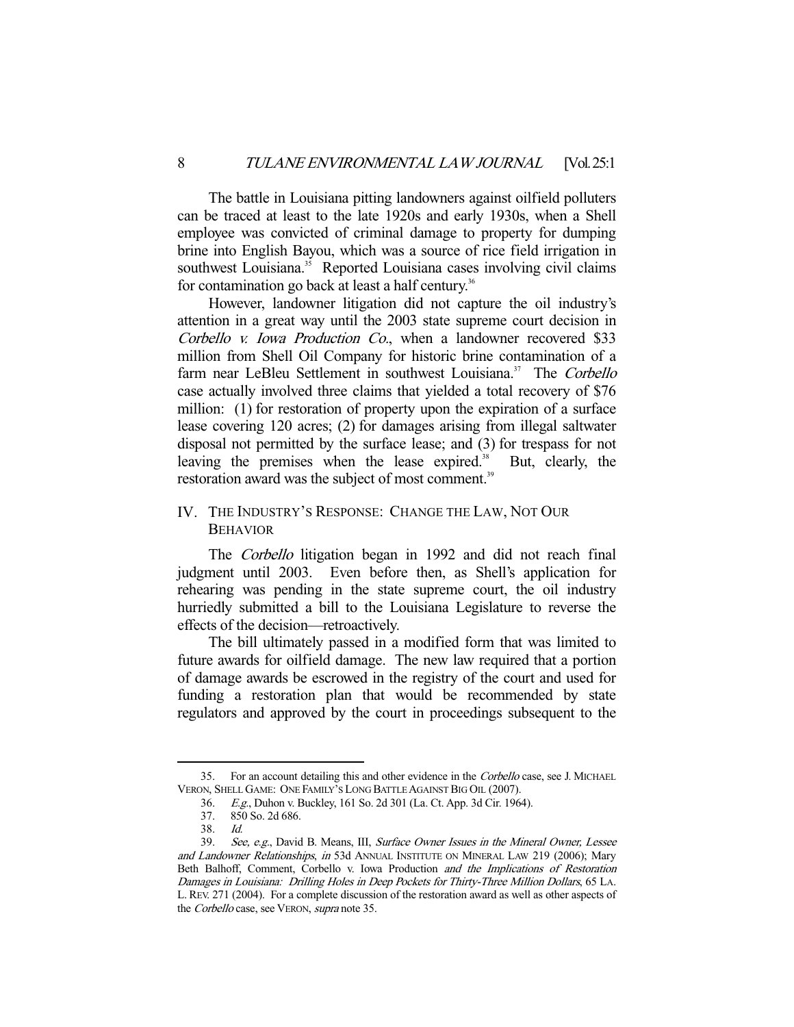The battle in Louisiana pitting landowners against oilfield polluters can be traced at least to the late 1920s and early 1930s, when a Shell employee was convicted of criminal damage to property for dumping brine into English Bayou, which was a source of rice field irrigation in southwest Louisiana.<sup>35</sup> Reported Louisiana cases involving civil claims for contamination go back at least a half century.<sup>36</sup>

 However, landowner litigation did not capture the oil industry's attention in a great way until the 2003 state supreme court decision in Corbello v. Iowa Production Co., when a landowner recovered \$33 million from Shell Oil Company for historic brine contamination of a farm near LeBleu Settlement in southwest Louisiana.<sup>37</sup> The Corbello case actually involved three claims that yielded a total recovery of \$76 million: (1) for restoration of property upon the expiration of a surface lease covering 120 acres; (2) for damages arising from illegal saltwater disposal not permitted by the surface lease; and (3) for trespass for not leaving the premises when the lease expired.<sup>38</sup> But, clearly, the restoration award was the subject of most comment.<sup>39</sup>

#### IV. THE INDUSTRY'S RESPONSE: CHANGE THE LAW, NOT OUR BEHAVIOR

 The Corbello litigation began in 1992 and did not reach final judgment until 2003. Even before then, as Shell's application for rehearing was pending in the state supreme court, the oil industry hurriedly submitted a bill to the Louisiana Legislature to reverse the effects of the decision—retroactively.

 The bill ultimately passed in a modified form that was limited to future awards for oilfield damage. The new law required that a portion of damage awards be escrowed in the registry of the court and used for funding a restoration plan that would be recommended by state regulators and approved by the court in proceedings subsequent to the

<sup>35.</sup> For an account detailing this and other evidence in the Corbello case, see J. MICHAEL VERON, SHELL GAME: ONE FAMILY'S LONG BATTLE AGAINST BIG OIL (2007).

 <sup>36.</sup> E.g., Duhon v. Buckley, 161 So. 2d 301 (La. Ct. App. 3d Cir. 1964).

 <sup>37. 850</sup> So. 2d 686.

 <sup>38.</sup> Id.

 <sup>39.</sup> See, e.g., David B. Means, III, Surface Owner Issues in the Mineral Owner, Lessee and Landowner Relationships, in 53d ANNUAL INSTITUTE ON MINERAL LAW 219 (2006); Mary Beth Balhoff, Comment, Corbello v. Iowa Production and the Implications of Restoration Damages in Louisiana: Drilling Holes in Deep Pockets for Thirty-Three Million Dollars, 65 LA. L. REV. 271 (2004). For a complete discussion of the restoration award as well as other aspects of the Corbello case, see VERON, supra note 35.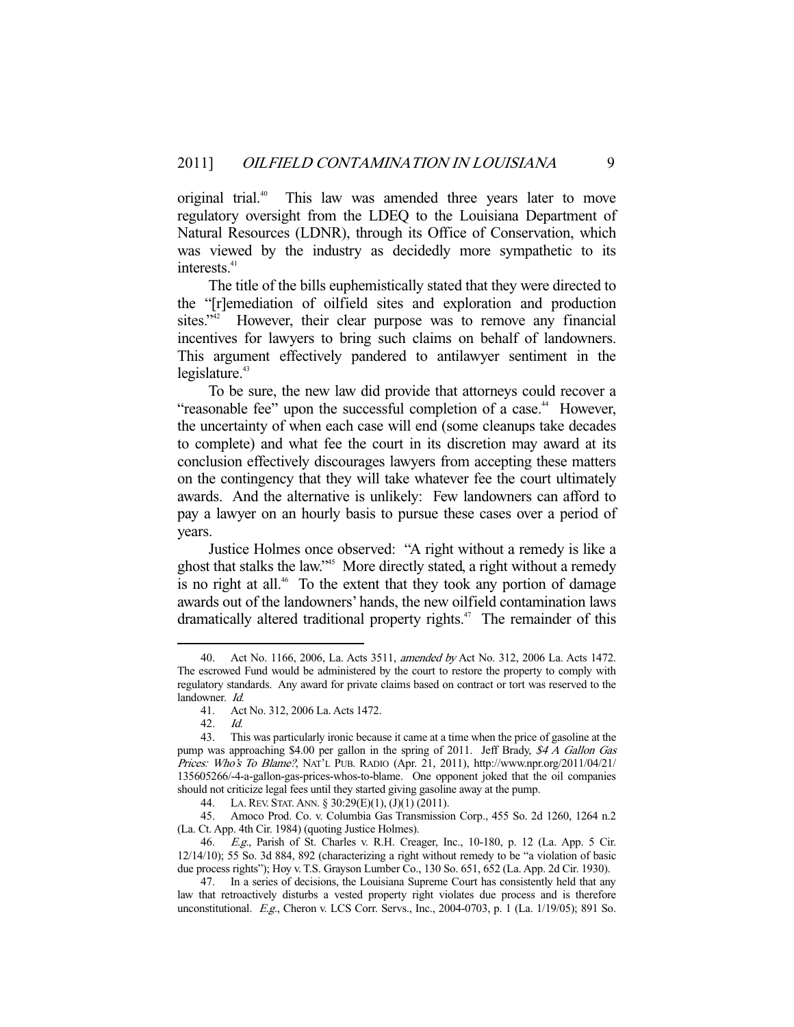original trial.<sup>40</sup> This law was amended three years later to move regulatory oversight from the LDEQ to the Louisiana Department of Natural Resources (LDNR), through its Office of Conservation, which was viewed by the industry as decidedly more sympathetic to its interests.<sup>41</sup>

 The title of the bills euphemistically stated that they were directed to the "[r]emediation of oilfield sites and exploration and production sites."<sup>42</sup> However, their clear purpose was to remove any financial incentives for lawyers to bring such claims on behalf of landowners. This argument effectively pandered to antilawyer sentiment in the  $legislature.<sup>43</sup>$ 

 To be sure, the new law did provide that attorneys could recover a "reasonable fee" upon the successful completion of a case.<sup>44</sup> However, the uncertainty of when each case will end (some cleanups take decades to complete) and what fee the court in its discretion may award at its conclusion effectively discourages lawyers from accepting these matters on the contingency that they will take whatever fee the court ultimately awards. And the alternative is unlikely: Few landowners can afford to pay a lawyer on an hourly basis to pursue these cases over a period of years.

 Justice Holmes once observed: "A right without a remedy is like a ghost that stalks the law."45 More directly stated, a right without a remedy is no right at all.<sup>46</sup> To the extent that they took any portion of damage awards out of the landowners' hands, the new oilfield contamination laws dramatically altered traditional property rights.<sup>47</sup> The remainder of this

 <sup>40.</sup> Act No. 1166, 2006, La. Acts 3511, amended by Act No. 312, 2006 La. Acts 1472. The escrowed Fund would be administered by the court to restore the property to comply with regulatory standards. Any award for private claims based on contract or tort was reserved to the landowner. Id.

 <sup>41.</sup> Act No. 312, 2006 La. Acts 1472.

 <sup>42.</sup> Id.

 <sup>43.</sup> This was particularly ironic because it came at a time when the price of gasoline at the pump was approaching \$4.00 per gallon in the spring of 2011. Jeff Brady,  $\mathcal{S}4\text{ }A$  Gallon Gas Prices: Who's To Blame?, NAT'L PUB. RADIO (Apr. 21, 2011), http://www.npr.org/2011/04/21/ 135605266/-4-a-gallon-gas-prices-whos-to-blame. One opponent joked that the oil companies should not criticize legal fees until they started giving gasoline away at the pump.

 <sup>44.</sup> LA.REV. STAT. ANN. § 30:29(E)(1), (J)(1) (2011).

 <sup>45.</sup> Amoco Prod. Co. v. Columbia Gas Transmission Corp., 455 So. 2d 1260, 1264 n.2 (La. Ct. App. 4th Cir. 1984) (quoting Justice Holmes).

 <sup>46.</sup> E.g., Parish of St. Charles v. R.H. Creager, Inc., 10-180, p. 12 (La. App. 5 Cir. 12/14/10); 55 So. 3d 884, 892 (characterizing a right without remedy to be "a violation of basic due process rights"); Hoy v. T.S. Grayson Lumber Co., 130 So. 651, 652 (La. App. 2d Cir. 1930).

 <sup>47.</sup> In a series of decisions, the Louisiana Supreme Court has consistently held that any law that retroactively disturbs a vested property right violates due process and is therefore unconstitutional. E.g., Cheron v. LCS Corr. Servs., Inc., 2004-0703, p. 1 (La. 1/19/05); 891 So.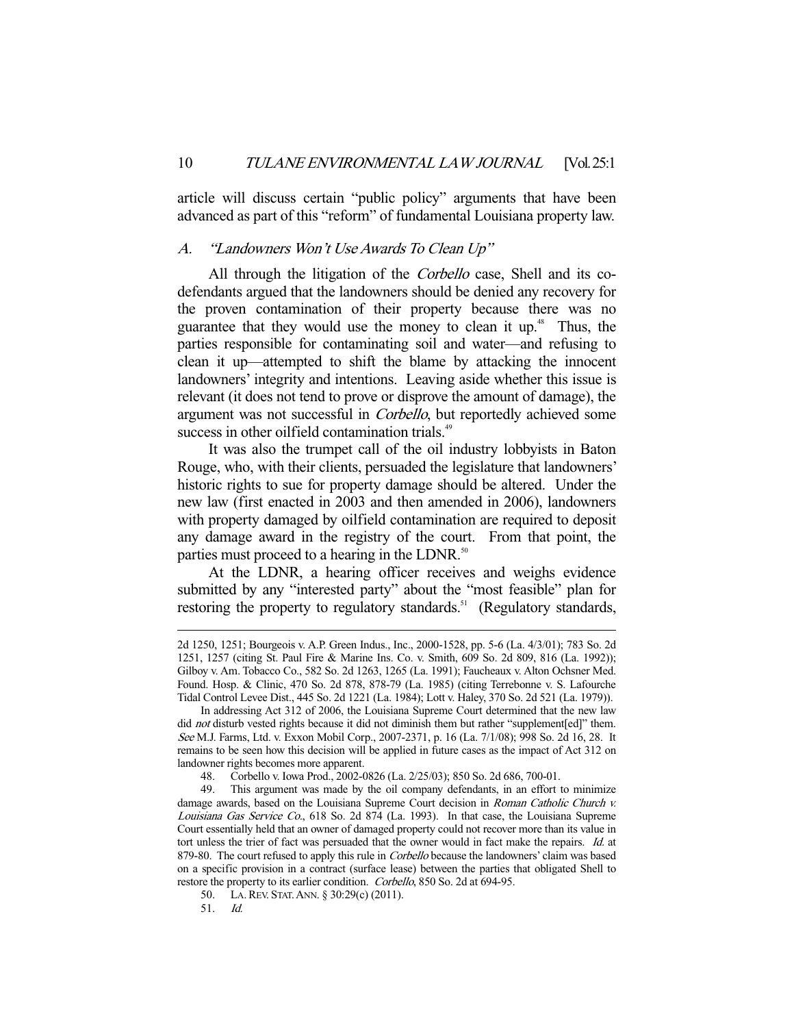article will discuss certain "public policy" arguments that have been advanced as part of this "reform" of fundamental Louisiana property law.

#### A. "Landowners Won't Use Awards To Clean Up"

All through the litigation of the *Corbello* case, Shell and its codefendants argued that the landowners should be denied any recovery for the proven contamination of their property because there was no guarantee that they would use the money to clean it up.<sup>48</sup> Thus, the parties responsible for contaminating soil and water—and refusing to clean it up—attempted to shift the blame by attacking the innocent landowners' integrity and intentions. Leaving aside whether this issue is relevant (it does not tend to prove or disprove the amount of damage), the argument was not successful in Corbello, but reportedly achieved some success in other oilfield contamination trials.<sup>49</sup>

 It was also the trumpet call of the oil industry lobbyists in Baton Rouge, who, with their clients, persuaded the legislature that landowners' historic rights to sue for property damage should be altered. Under the new law (first enacted in 2003 and then amended in 2006), landowners with property damaged by oilfield contamination are required to deposit any damage award in the registry of the court. From that point, the parties must proceed to a hearing in the LDNR. $^{50}$ 

 At the LDNR, a hearing officer receives and weighs evidence submitted by any "interested party" about the "most feasible" plan for restoring the property to regulatory standards.<sup>51</sup> (Regulatory standards,

<sup>2</sup>d 1250, 1251; Bourgeois v. A.P. Green Indus., Inc., 2000-1528, pp. 5-6 (La. 4/3/01); 783 So. 2d 1251, 1257 (citing St. Paul Fire & Marine Ins. Co. v. Smith, 609 So. 2d 809, 816 (La. 1992)); Gilboy v. Am. Tobacco Co., 582 So. 2d 1263, 1265 (La. 1991); Faucheaux v. Alton Ochsner Med. Found. Hosp. & Clinic, 470 So. 2d 878, 878-79 (La. 1985) (citing Terrebonne v. S. Lafourche Tidal Control Levee Dist., 445 So. 2d 1221 (La. 1984); Lott v. Haley, 370 So. 2d 521 (La. 1979)).

In addressing Act 312 of 2006, the Louisiana Supreme Court determined that the new law did not disturb vested rights because it did not diminish them but rather "supplement[ed]" them. See M.J. Farms, Ltd. v. Exxon Mobil Corp., 2007-2371, p. 16 (La. 7/1/08); 998 So. 2d 16, 28. It remains to be seen how this decision will be applied in future cases as the impact of Act 312 on landowner rights becomes more apparent.

 <sup>48.</sup> Corbello v. Iowa Prod., 2002-0826 (La. 2/25/03); 850 So. 2d 686, 700-01.

 <sup>49.</sup> This argument was made by the oil company defendants, in an effort to minimize damage awards, based on the Louisiana Supreme Court decision in Roman Catholic Church v. Louisiana Gas Service Co., 618 So. 2d 874 (La. 1993). In that case, the Louisiana Supreme Court essentially held that an owner of damaged property could not recover more than its value in tort unless the trier of fact was persuaded that the owner would in fact make the repairs. Id. at 879-80. The court refused to apply this rule in *Corbello* because the landowners' claim was based on a specific provision in a contract (surface lease) between the parties that obligated Shell to restore the property to its earlier condition. Corbello, 850 So. 2d at 694-95.

 <sup>50.</sup> LA.REV. STAT.ANN. § 30:29(c) (2011).

 <sup>51.</sup> Id.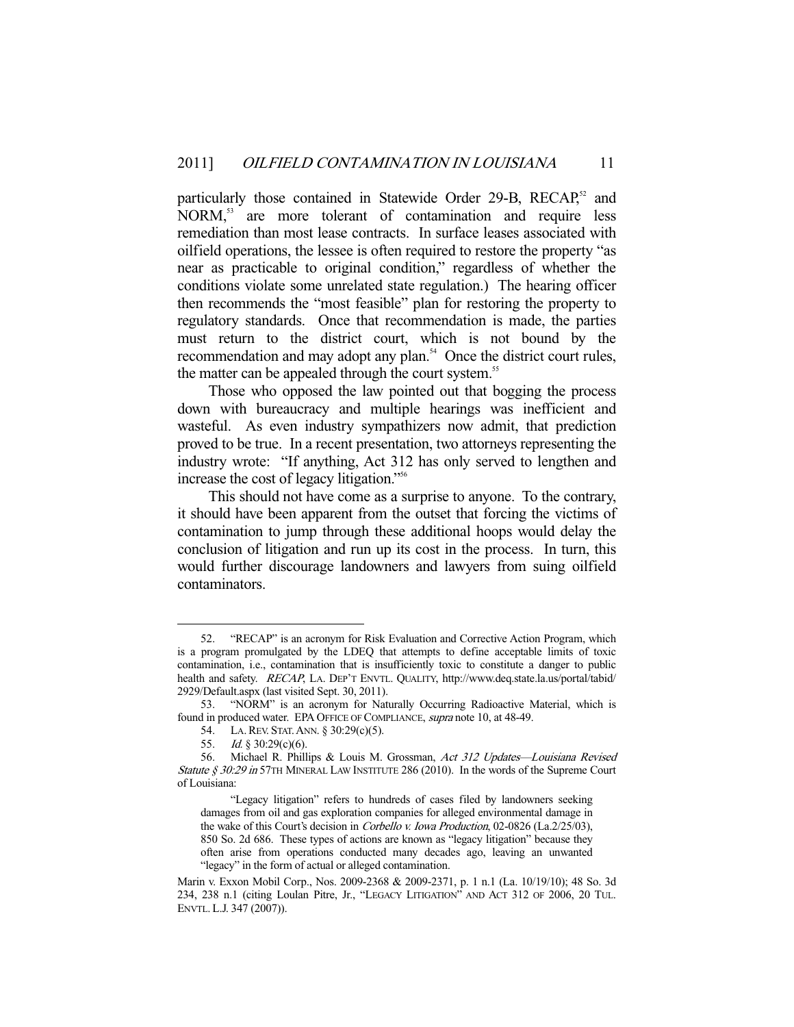particularly those contained in Statewide Order 29-B, RECAP,<sup>52</sup> and NORM,<sup>53</sup> are more tolerant of contamination and require less remediation than most lease contracts. In surface leases associated with oilfield operations, the lessee is often required to restore the property "as near as practicable to original condition," regardless of whether the conditions violate some unrelated state regulation.) The hearing officer then recommends the "most feasible" plan for restoring the property to regulatory standards. Once that recommendation is made, the parties must return to the district court, which is not bound by the recommendation and may adopt any plan.<sup>54</sup> Once the district court rules, the matter can be appealed through the court system.<sup>55</sup>

 Those who opposed the law pointed out that bogging the process down with bureaucracy and multiple hearings was inefficient and wasteful. As even industry sympathizers now admit, that prediction proved to be true. In a recent presentation, two attorneys representing the industry wrote: "If anything, Act 312 has only served to lengthen and increase the cost of legacy litigation."56

 This should not have come as a surprise to anyone. To the contrary, it should have been apparent from the outset that forcing the victims of contamination to jump through these additional hoops would delay the conclusion of litigation and run up its cost in the process. In turn, this would further discourage landowners and lawyers from suing oilfield contaminators.

 <sup>52. &</sup>quot;RECAP" is an acronym for Risk Evaluation and Corrective Action Program, which is a program promulgated by the LDEQ that attempts to define acceptable limits of toxic contamination, i.e., contamination that is insufficiently toxic to constitute a danger to public health and safety. RECAP, LA. DEP'T ENVTL. QUALITY, http://www.deq.state.la.us/portal/tabid/ 2929/Default.aspx (last visited Sept. 30, 2011).

 <sup>53. &</sup>quot;NORM" is an acronym for Naturally Occurring Radioactive Material, which is found in produced water. EPA OFFICE OF COMPLIANCE, supra note 10, at 48-49.

 <sup>54.</sup> LA.REV. STAT.ANN. § 30:29(c)(5).

 <sup>55.</sup> Id. § 30:29(c)(6).

 <sup>56.</sup> Michael R. Phillips & Louis M. Grossman, Act 312 Updates—Louisiana Revised Statute § 30:29 in 57TH MINERAL LAW INSTITUTE 286 (2010). In the words of the Supreme Court of Louisiana:

 <sup>&</sup>quot;Legacy litigation" refers to hundreds of cases filed by landowners seeking damages from oil and gas exploration companies for alleged environmental damage in the wake of this Court's decision in *Corbello v. Iowa Production*, 02-0826 (La.2/25/03), 850 So. 2d 686. These types of actions are known as "legacy litigation" because they often arise from operations conducted many decades ago, leaving an unwanted "legacy" in the form of actual or alleged contamination.

Marin v. Exxon Mobil Corp., Nos. 2009-2368 & 2009-2371, p. 1 n.1 (La. 10/19/10); 48 So. 3d 234, 238 n.1 (citing Loulan Pitre, Jr., "LEGACY LITIGATION" AND ACT 312 OF 2006, 20 TUL. ENVTL. L.J. 347 (2007)).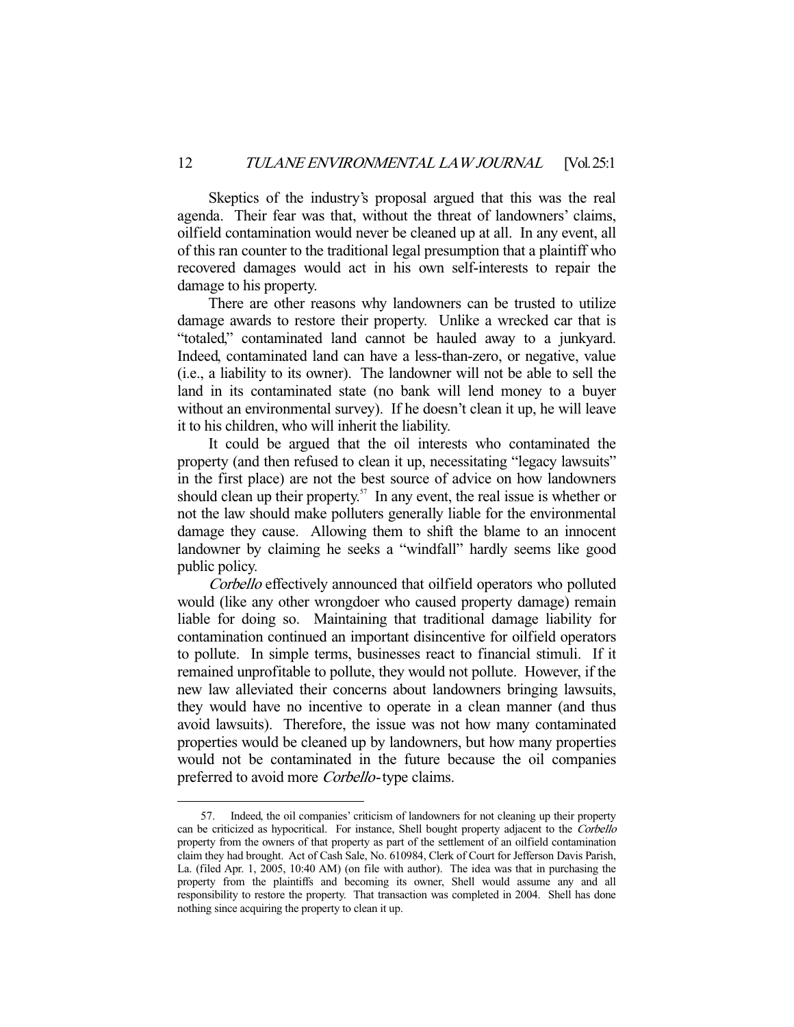Skeptics of the industry's proposal argued that this was the real agenda. Their fear was that, without the threat of landowners' claims, oilfield contamination would never be cleaned up at all. In any event, all of this ran counter to the traditional legal presumption that a plaintiff who recovered damages would act in his own self-interests to repair the damage to his property.

 There are other reasons why landowners can be trusted to utilize damage awards to restore their property. Unlike a wrecked car that is "totaled," contaminated land cannot be hauled away to a junkyard. Indeed, contaminated land can have a less-than-zero, or negative, value (i.e., a liability to its owner). The landowner will not be able to sell the land in its contaminated state (no bank will lend money to a buyer without an environmental survey). If he doesn't clean it up, he will leave it to his children, who will inherit the liability.

 It could be argued that the oil interests who contaminated the property (and then refused to clean it up, necessitating "legacy lawsuits" in the first place) are not the best source of advice on how landowners should clean up their property.<sup>57</sup> In any event, the real issue is whether or not the law should make polluters generally liable for the environmental damage they cause. Allowing them to shift the blame to an innocent landowner by claiming he seeks a "windfall" hardly seems like good public policy.

Corbello effectively announced that oilfield operators who polluted would (like any other wrongdoer who caused property damage) remain liable for doing so. Maintaining that traditional damage liability for contamination continued an important disincentive for oilfield operators to pollute. In simple terms, businesses react to financial stimuli. If it remained unprofitable to pollute, they would not pollute. However, if the new law alleviated their concerns about landowners bringing lawsuits, they would have no incentive to operate in a clean manner (and thus avoid lawsuits). Therefore, the issue was not how many contaminated properties would be cleaned up by landowners, but how many properties would not be contaminated in the future because the oil companies preferred to avoid more *Corbello*-type claims.

 <sup>57.</sup> Indeed, the oil companies' criticism of landowners for not cleaning up their property can be criticized as hypocritical. For instance, Shell bought property adjacent to the Corbello property from the owners of that property as part of the settlement of an oilfield contamination claim they had brought. Act of Cash Sale, No. 610984, Clerk of Court for Jefferson Davis Parish, La. (filed Apr. 1, 2005, 10:40 AM) (on file with author). The idea was that in purchasing the property from the plaintiffs and becoming its owner, Shell would assume any and all responsibility to restore the property. That transaction was completed in 2004. Shell has done nothing since acquiring the property to clean it up.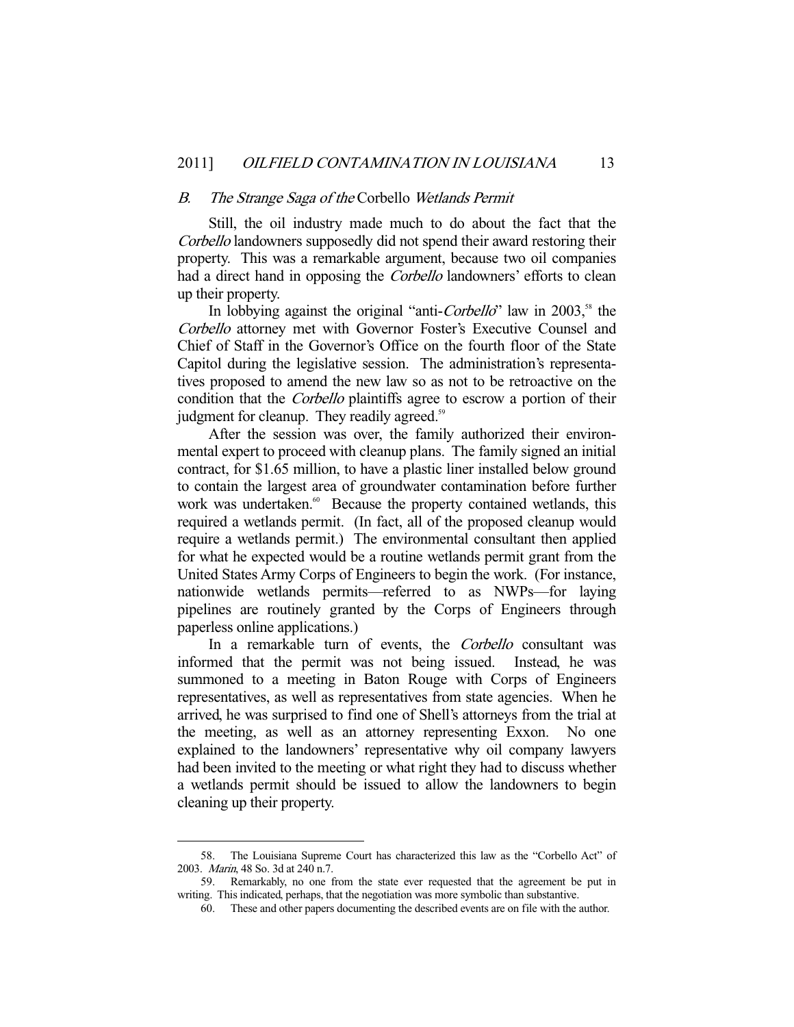#### B. The Strange Saga of the Corbello Wetlands Permit

 Still, the oil industry made much to do about the fact that the Corbello landowners supposedly did not spend their award restoring their property. This was a remarkable argument, because two oil companies had a direct hand in opposing the *Corbello* landowners' efforts to clean up their property.

In lobbying against the original "anti-Corbello" law in 2003,<sup>58</sup> the Corbello attorney met with Governor Foster's Executive Counsel and Chief of Staff in the Governor's Office on the fourth floor of the State Capitol during the legislative session. The administration's representatives proposed to amend the new law so as not to be retroactive on the condition that the Corbello plaintiffs agree to escrow a portion of their judgment for cleanup. They readily agreed.<sup>59</sup>

 After the session was over, the family authorized their environmental expert to proceed with cleanup plans. The family signed an initial contract, for \$1.65 million, to have a plastic liner installed below ground to contain the largest area of groundwater contamination before further work was undertaken.<sup>60</sup> Because the property contained wetlands, this required a wetlands permit. (In fact, all of the proposed cleanup would require a wetlands permit.) The environmental consultant then applied for what he expected would be a routine wetlands permit grant from the United States Army Corps of Engineers to begin the work. (For instance, nationwide wetlands permits—referred to as NWPs—for laying pipelines are routinely granted by the Corps of Engineers through paperless online applications.)

In a remarkable turn of events, the Corbello consultant was informed that the permit was not being issued. Instead, he was summoned to a meeting in Baton Rouge with Corps of Engineers representatives, as well as representatives from state agencies. When he arrived, he was surprised to find one of Shell's attorneys from the trial at the meeting, as well as an attorney representing Exxon. No one explained to the landowners' representative why oil company lawyers had been invited to the meeting or what right they had to discuss whether a wetlands permit should be issued to allow the landowners to begin cleaning up their property.

 <sup>58.</sup> The Louisiana Supreme Court has characterized this law as the "Corbello Act" of 2003. Marin, 48 So. 3d at 240 n.7.

 <sup>59.</sup> Remarkably, no one from the state ever requested that the agreement be put in writing. This indicated, perhaps, that the negotiation was more symbolic than substantive.

 <sup>60.</sup> These and other papers documenting the described events are on file with the author.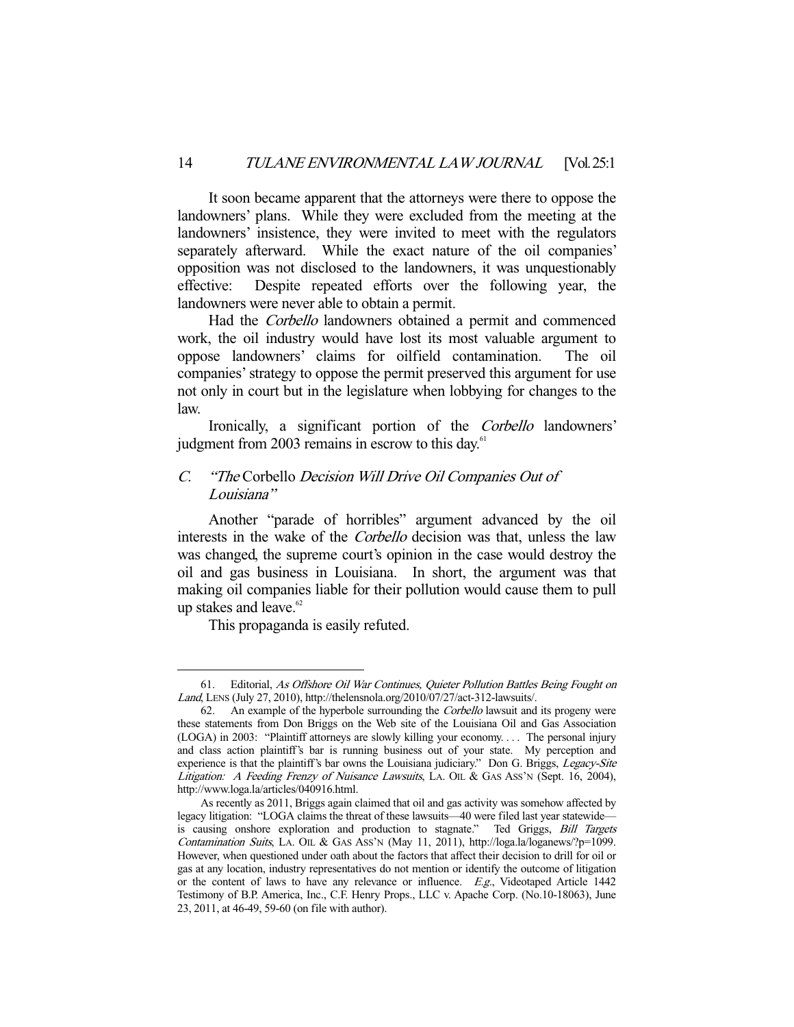It soon became apparent that the attorneys were there to oppose the landowners' plans. While they were excluded from the meeting at the landowners' insistence, they were invited to meet with the regulators separately afterward. While the exact nature of the oil companies' opposition was not disclosed to the landowners, it was unquestionably effective: Despite repeated efforts over the following year, the landowners were never able to obtain a permit.

Had the Corbello landowners obtained a permit and commenced work, the oil industry would have lost its most valuable argument to oppose landowners' claims for oilfield contamination. The oil companies' strategy to oppose the permit preserved this argument for use not only in court but in the legislature when lobbying for changes to the law.

 Ironically, a significant portion of the Corbello landowners' judgment from 2003 remains in escrow to this day.<sup>61</sup>

#### C. "The Corbello Decision Will Drive Oil Companies Out of Louisiana"

 Another "parade of horribles" argument advanced by the oil interests in the wake of the Corbello decision was that, unless the law was changed, the supreme court's opinion in the case would destroy the oil and gas business in Louisiana. In short, the argument was that making oil companies liable for their pollution would cause them to pull up stakes and leave. $62$ 

This propaganda is easily refuted.

 <sup>61.</sup> Editorial, As Offshore Oil War Continues, Quieter Pollution Battles Being Fought on Land, LENS (July 27, 2010), http://thelensnola.org/2010/07/27/act-312-lawsuits/.

 <sup>62.</sup> An example of the hyperbole surrounding the Corbello lawsuit and its progeny were these statements from Don Briggs on the Web site of the Louisiana Oil and Gas Association (LOGA) in 2003: "Plaintiff attorneys are slowly killing your economy. . . . The personal injury and class action plaintiff's bar is running business out of your state. My perception and experience is that the plaintiff's bar owns the Louisiana judiciary." Don G. Briggs, Legacy-Site Litigation: A Feeding Frenzy of Nuisance Lawsuits, LA. OIL & GAS ASS'N (Sept. 16, 2004), http://www.loga.la/articles/040916.html.

As recently as 2011, Briggs again claimed that oil and gas activity was somehow affected by legacy litigation: "LOGA claims the threat of these lawsuits—40 were filed last year statewide is causing onshore exploration and production to stagnate." Ted Griggs, Bill Targets Contamination Suits, LA. OIL & GAS ASS'N (May 11, 2011), http://loga.la/loganews/?p=1099. However, when questioned under oath about the factors that affect their decision to drill for oil or gas at any location, industry representatives do not mention or identify the outcome of litigation or the content of laws to have any relevance or influence. E.g., Videotaped Article 1442 Testimony of B.P. America, Inc., C.F. Henry Props., LLC v. Apache Corp. (No.10-18063), June 23, 2011, at 46-49, 59-60 (on file with author).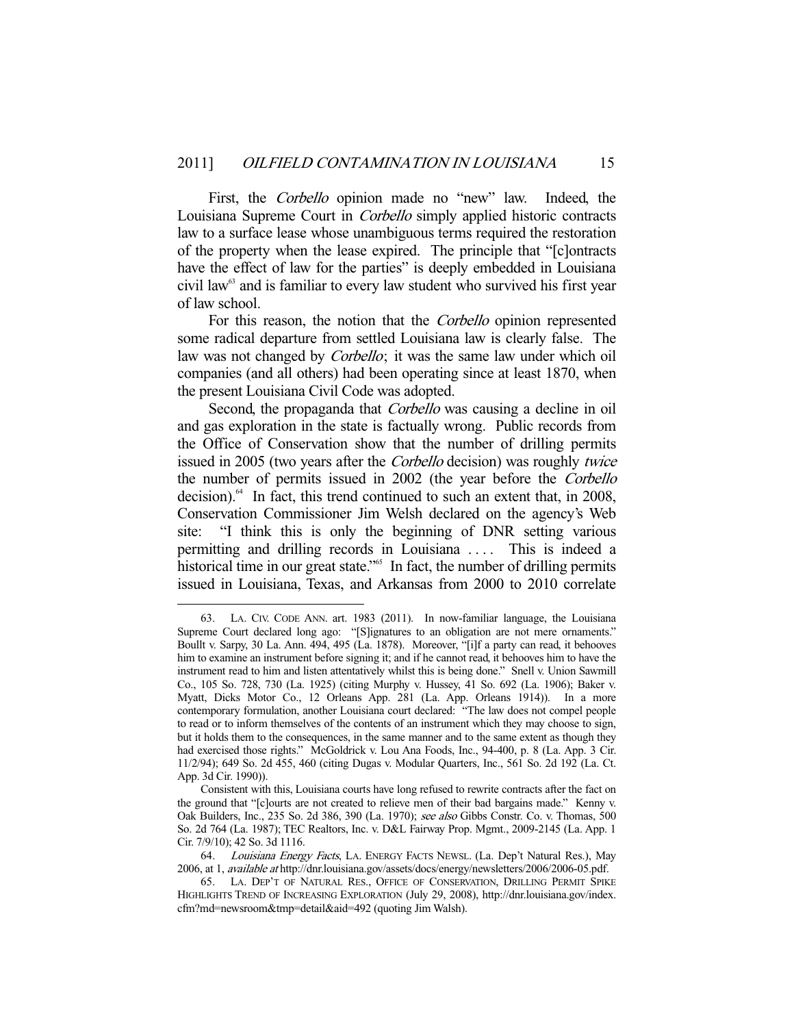First, the *Corbello* opinion made no "new" law. Indeed, the Louisiana Supreme Court in Corbello simply applied historic contracts law to a surface lease whose unambiguous terms required the restoration of the property when the lease expired. The principle that "[c]ontracts have the effect of law for the parties" is deeply embedded in Louisiana civil law<sup>63</sup> and is familiar to every law student who survived his first year of law school.

 For this reason, the notion that the Corbello opinion represented some radical departure from settled Louisiana law is clearly false. The law was not changed by *Corbello*; it was the same law under which oil companies (and all others) had been operating since at least 1870, when the present Louisiana Civil Code was adopted.

Second, the propaganda that *Corbello* was causing a decline in oil and gas exploration in the state is factually wrong. Public records from the Office of Conservation show that the number of drilling permits issued in 2005 (two years after the Corbello decision) was roughly twice the number of permits issued in 2002 (the year before the Corbello decision).<sup>64</sup> In fact, this trend continued to such an extent that, in 2008, Conservation Commissioner Jim Welsh declared on the agency's Web site: "I think this is only the beginning of DNR setting various permitting and drilling records in Louisiana .... This is indeed a historical time in our great state."<sup>65</sup> In fact, the number of drilling permits issued in Louisiana, Texas, and Arkansas from 2000 to 2010 correlate

 <sup>63.</sup> LA. CIV. CODE ANN. art. 1983 (2011). In now-familiar language, the Louisiana Supreme Court declared long ago: "[S]ignatures to an obligation are not mere ornaments." Boullt v. Sarpy, 30 La. Ann. 494, 495 (La. 1878). Moreover, "[i]f a party can read, it behooves him to examine an instrument before signing it; and if he cannot read, it behooves him to have the instrument read to him and listen attentatively whilst this is being done." Snell v. Union Sawmill Co., 105 So. 728, 730 (La. 1925) (citing Murphy v. Hussey, 41 So. 692 (La. 1906); Baker v. Myatt, Dicks Motor Co., 12 Orleans App. 281 (La. App. Orleans 1914)). In a more contemporary formulation, another Louisiana court declared: "The law does not compel people to read or to inform themselves of the contents of an instrument which they may choose to sign, but it holds them to the consequences, in the same manner and to the same extent as though they had exercised those rights." McGoldrick v. Lou Ana Foods, Inc., 94-400, p. 8 (La. App. 3 Cir. 11/2/94); 649 So. 2d 455, 460 (citing Dugas v. Modular Quarters, Inc., 561 So. 2d 192 (La. Ct. App. 3d Cir. 1990)).

Consistent with this, Louisiana courts have long refused to rewrite contracts after the fact on the ground that "[c]ourts are not created to relieve men of their bad bargains made." Kenny v. Oak Builders, Inc., 235 So. 2d 386, 390 (La. 1970); see also Gibbs Constr. Co. v. Thomas, 500 So. 2d 764 (La. 1987); TEC Realtors, Inc. v. D&L Fairway Prop. Mgmt., 2009-2145 (La. App. 1 Cir. 7/9/10); 42 So. 3d 1116.

<sup>64.</sup> Louisiana Energy Facts, LA. ENERGY FACTS NEWSL. (La. Dep't Natural Res.), May 2006, at 1, available at http://dnr.louisiana.gov/assets/docs/energy/newsletters/2006/2006-05.pdf.

 <sup>65.</sup> LA. DEP'T OF NATURAL RES., OFFICE OF CONSERVATION, DRILLING PERMIT SPIKE HIGHLIGHTS TREND OF INCREASING EXPLORATION (July 29, 2008), http://dnr.louisiana.gov/index. cfm?md=newsroom&tmp=detail&aid=492 (quoting Jim Walsh).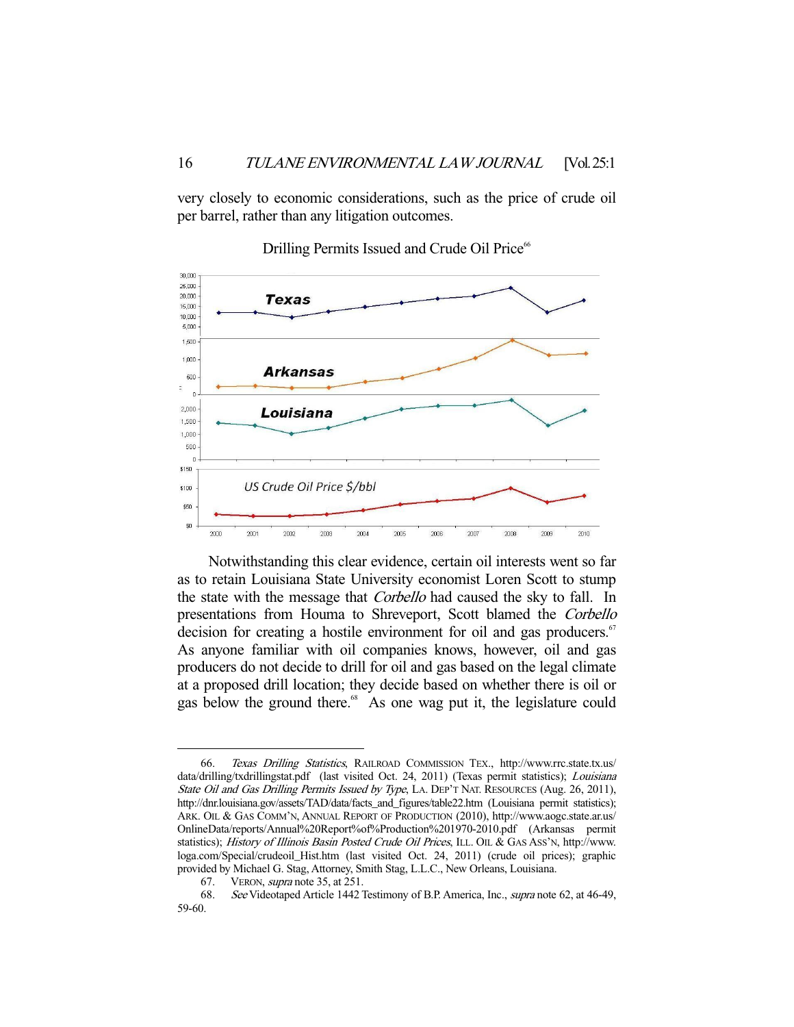very closely to economic considerations, such as the price of crude oil per barrel, rather than any litigation outcomes.



Drilling Permits Issued and Crude Oil Price<sup>66</sup>

 Notwithstanding this clear evidence, certain oil interests went so far as to retain Louisiana State University economist Loren Scott to stump the state with the message that *Corbello* had caused the sky to fall. In presentations from Houma to Shreveport, Scott blamed the Corbello decision for creating a hostile environment for oil and gas producers. $\sigma$ As anyone familiar with oil companies knows, however, oil and gas producers do not decide to drill for oil and gas based on the legal climate at a proposed drill location; they decide based on whether there is oil or gas below the ground there.<sup>68</sup> As one wag put it, the legislature could

 <sup>66.</sup> Texas Drilling Statistics, RAILROAD COMMISSION TEX., http://www.rrc.state.tx.us/ data/drilling/txdrillingstat.pdf (last visited Oct. 24, 2011) (Texas permit statistics); *Louisiana* State Oil and Gas Drilling Permits Issued by Type, LA. DEP'T NAT. RESOURCES (Aug. 26, 2011), http://dnr.louisiana.gov/assets/TAD/data/facts\_and\_figures/table22.htm (Louisiana permit statistics); ARK. OIL & GAS COMM'N, ANNUAL REPORT OF PRODUCTION (2010), http://www.aogc.state.ar.us/ OnlineData/reports/Annual%20Report%of%Production%201970-2010.pdf (Arkansas permit statistics); History of Illinois Basin Posted Crude Oil Prices, ILL. OIL & GAS ASS'N, http://www. loga.com/Special/crudeoil\_Hist.htm (last visited Oct. 24, 2011) (crude oil prices); graphic provided by Michael G. Stag, Attorney, Smith Stag, L.L.C., New Orleans, Louisiana.

 <sup>67.</sup> VERON, supra note 35, at 251.

 <sup>68.</sup> See Videotaped Article 1442 Testimony of B.P. America, Inc., supra note 62, at 46-49, 59-60.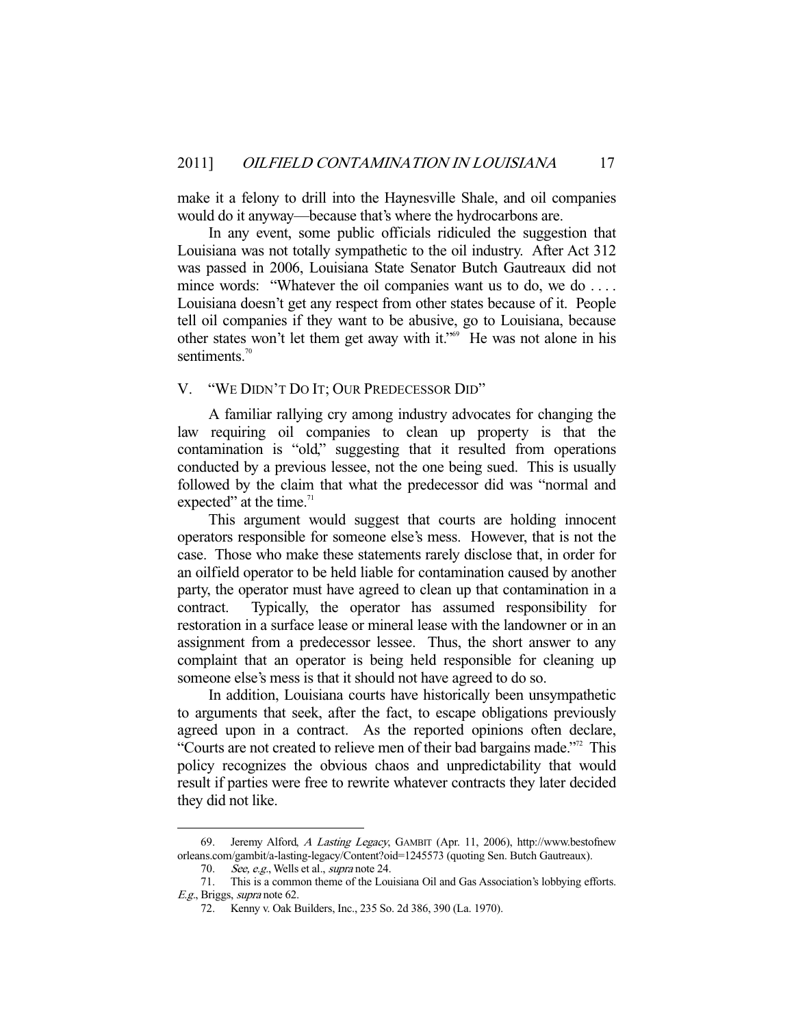make it a felony to drill into the Haynesville Shale, and oil companies would do it anyway—because that's where the hydrocarbons are.

 In any event, some public officials ridiculed the suggestion that Louisiana was not totally sympathetic to the oil industry. After Act 312 was passed in 2006, Louisiana State Senator Butch Gautreaux did not mince words: "Whatever the oil companies want us to do, we do .... Louisiana doesn't get any respect from other states because of it. People tell oil companies if they want to be abusive, go to Louisiana, because other states won't let them get away with it."<sup>69</sup> He was not alone in his sentiments. $70$ 

#### V. "WE DIDN'T DO IT; OUR PREDECESSOR DID"

 A familiar rallying cry among industry advocates for changing the law requiring oil companies to clean up property is that the contamination is "old," suggesting that it resulted from operations conducted by a previous lessee, not the one being sued. This is usually followed by the claim that what the predecessor did was "normal and expected" at the time. $1$ 

 This argument would suggest that courts are holding innocent operators responsible for someone else's mess. However, that is not the case. Those who make these statements rarely disclose that, in order for an oilfield operator to be held liable for contamination caused by another party, the operator must have agreed to clean up that contamination in a contract. Typically, the operator has assumed responsibility for restoration in a surface lease or mineral lease with the landowner or in an assignment from a predecessor lessee. Thus, the short answer to any complaint that an operator is being held responsible for cleaning up someone else's mess is that it should not have agreed to do so.

 In addition, Louisiana courts have historically been unsympathetic to arguments that seek, after the fact, to escape obligations previously agreed upon in a contract. As the reported opinions often declare, "Courts are not created to relieve men of their bad bargains made."72 This policy recognizes the obvious chaos and unpredictability that would result if parties were free to rewrite whatever contracts they later decided they did not like.

<sup>69.</sup> Jeremy Alford, A Lasting Legacy, GAMBIT (Apr. 11, 2006), http://www.bestofnew orleans.com/gambit/a-lasting-legacy/Content?oid=1245573 (quoting Sen. Butch Gautreaux).

<sup>70.</sup> See, e.g., Wells et al., supra note 24.

 <sup>71.</sup> This is a common theme of the Louisiana Oil and Gas Association's lobbying efforts. E.g., Briggs, supra note 62.

 <sup>72.</sup> Kenny v. Oak Builders, Inc., 235 So. 2d 386, 390 (La. 1970).